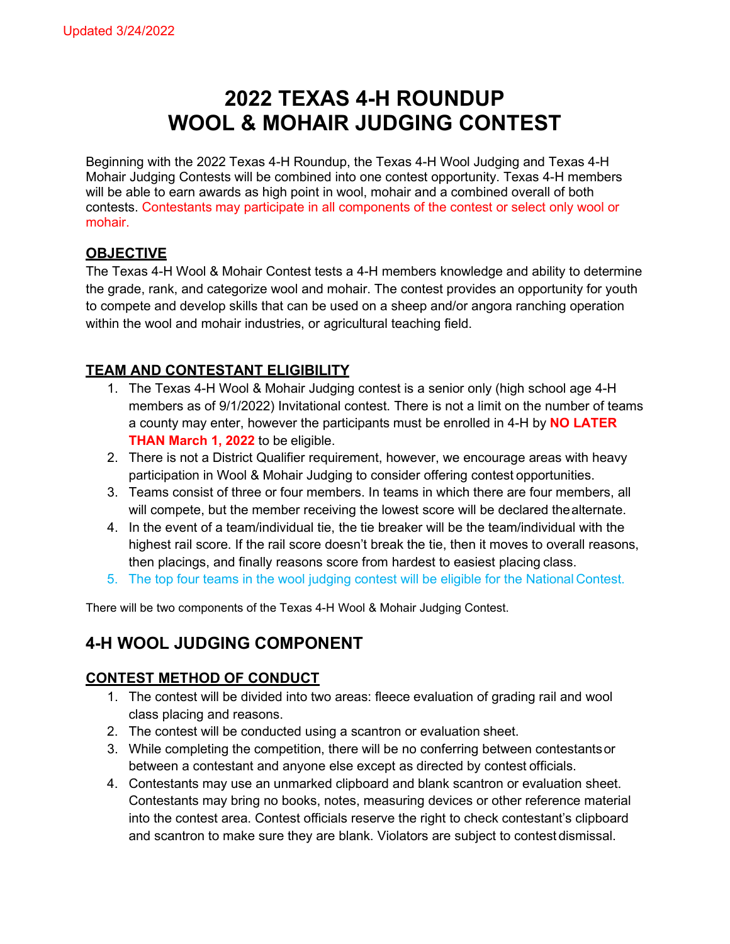# **2022 TEXAS 4-H ROUNDUP WOOL & MOHAIR JUDGING CONTEST**

Beginning with the 2022 Texas 4-H Roundup, the Texas 4-H Wool Judging and Texas 4-H Mohair Judging Contests will be combined into one contest opportunity. Texas 4-H members will be able to earn awards as high point in wool, mohair and a combined overall of both contests. Contestants may participate in all components of the contest or select only wool or mohair.

#### **OBJECTIVE**

The Texas 4-H Wool & Mohair Contest tests a 4-H members knowledge and ability to determine the grade, rank, and categorize wool and mohair. The contest provides an opportunity for youth to compete and develop skills that can be used on a sheep and/or angora ranching operation within the wool and mohair industries, or agricultural teaching field.

#### **TEAM AND CONTESTANT ELIGIBILITY**

- 1. The Texas 4-H Wool & Mohair Judging contest is a senior only (high school age 4-H members as of 9/1/2022) Invitational contest. There is not a limit on the number of teams a county may enter, however the participants must be enrolled in 4-H by **NO LATER THAN March 1, 2022** to be eligible.
- 2. There is not a District Qualifier requirement, however, we encourage areas with heavy participation in Wool & Mohair Judging to consider offering contest opportunities.
- 3. Teams consist of three or four members. In teams in which there are four members, all will compete, but the member receiving the lowest score will be declared thealternate.
- 4. In the event of a team/individual tie, the tie breaker will be the team/individual with the highest rail score. If the rail score doesn't break the tie, then it moves to overall reasons, then placings, and finally reasons score from hardest to easiest placing class.
- 5. The top four teams in the wool judging contest will be eligible for the National Contest.

There will be two components of the Texas 4-H Wool & Mohair Judging Contest.

## **4-H WOOL JUDGING COMPONENT**

#### **CONTEST METHOD OF CONDUCT**

- 1. The contest will be divided into two areas: fleece evaluation of grading rail and wool class placing and reasons.
- 2. The contest will be conducted using a scantron or evaluation sheet.
- 3. While completing the competition, there will be no conferring between contestantsor between a contestant and anyone else except as directed by contest officials.
- 4. Contestants may use an unmarked clipboard and blank scantron or evaluation sheet. Contestants may bring no books, notes, measuring devices or other reference material into the contest area. Contest officials reserve the right to check contestant's clipboard and scantron to make sure they are blank. Violators are subject to contest dismissal.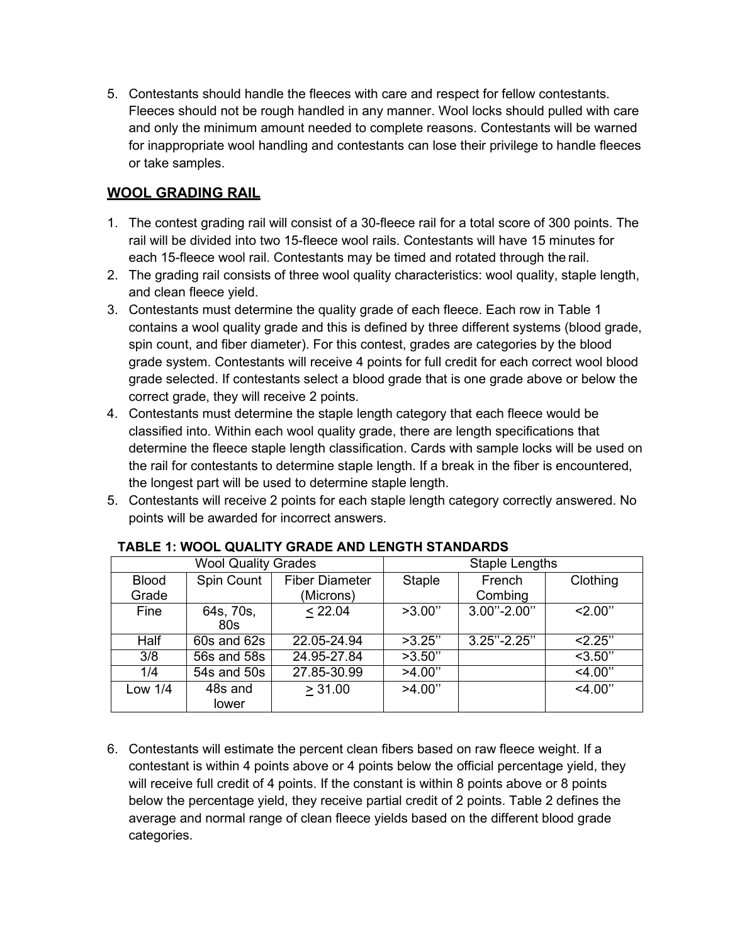5. Contestants should handle the fleeces with care and respect for fellow contestants. Fleeces should not be rough handled in any manner. Wool locks should pulled with care and only the minimum amount needed to complete reasons. Contestants will be warned for inappropriate wool handling and contestants can lose their privilege to handle fleeces or take samples.

#### **WOOL GRADING RAIL**

- 1. The contest grading rail will consist of a 30-fleece rail for a total score of 300 points. The rail will be divided into two 15-fleece wool rails. Contestants will have 15 minutes for each 15-fleece wool rail. Contestants may be timed and rotated through the rail.
- 2. The grading rail consists of three wool quality characteristics: wool quality, staple length, and clean fleece yield.
- 3. Contestants must determine the quality grade of each fleece. Each row in Table 1 contains a wool quality grade and this is defined by three different systems (blood grade, spin count, and fiber diameter). For this contest, grades are categories by the blood grade system. Contestants will receive 4 points for full credit for each correct wool blood grade selected. If contestants select a blood grade that is one grade above or below the correct grade, they will receive 2 points.
- 4. Contestants must determine the staple length category that each fleece would be classified into. Within each wool quality grade, there are length specifications that determine the fleece staple length classification. Cards with sample locks will be used on the rail for contestants to determine staple length. If a break in the fiber is encountered, the longest part will be used to determine staple length.
- 5. Contestants will receive 2 points for each staple length category correctly answered. No points will be awarded for incorrect answers.

|              | <b>Wool Quality Grades</b> |                       | <b>Staple Lengths</b> |                 |           |  |
|--------------|----------------------------|-----------------------|-----------------------|-----------------|-----------|--|
| <b>Blood</b> | Spin Count                 | <b>Fiber Diameter</b> | <b>Staple</b>         | French          | Clothing  |  |
| Grade        |                            | (Microns)             |                       | Combing         |           |  |
| Fine         | 64s, 70s,<br>80s           | < 22.04               | >3.00"                | $3.00" - 2.00"$ | 2.00"     |  |
| Half         | 60s and 62s                | 22.05-24.94           | >3.25"                | $3.25" - 2.25"$ | 2.25"     |  |
| 3/8          | 56s and 58s                | 24.95-27.84           | >3.50"                |                 | $<$ 3.50" |  |
| 1/4          | 54s and 50s                | 27.85-30.99           | >4.00"                |                 | 4.00"     |  |
| Low 1/4      | 48s and<br>lower           | > 31.00               | >4.00"                |                 | $<$ 4.00" |  |

#### **TABLE 1: WOOL QUALITY GRADE AND LENGTH STANDARDS**

6. Contestants will estimate the percent clean fibers based on raw fleece weight. If a contestant is within 4 points above or 4 points below the official percentage yield, they will receive full credit of 4 points. If the constant is within 8 points above or 8 points below the percentage yield, they receive partial credit of 2 points. Table 2 defines the average and normal range of clean fleece yields based on the different blood grade categories.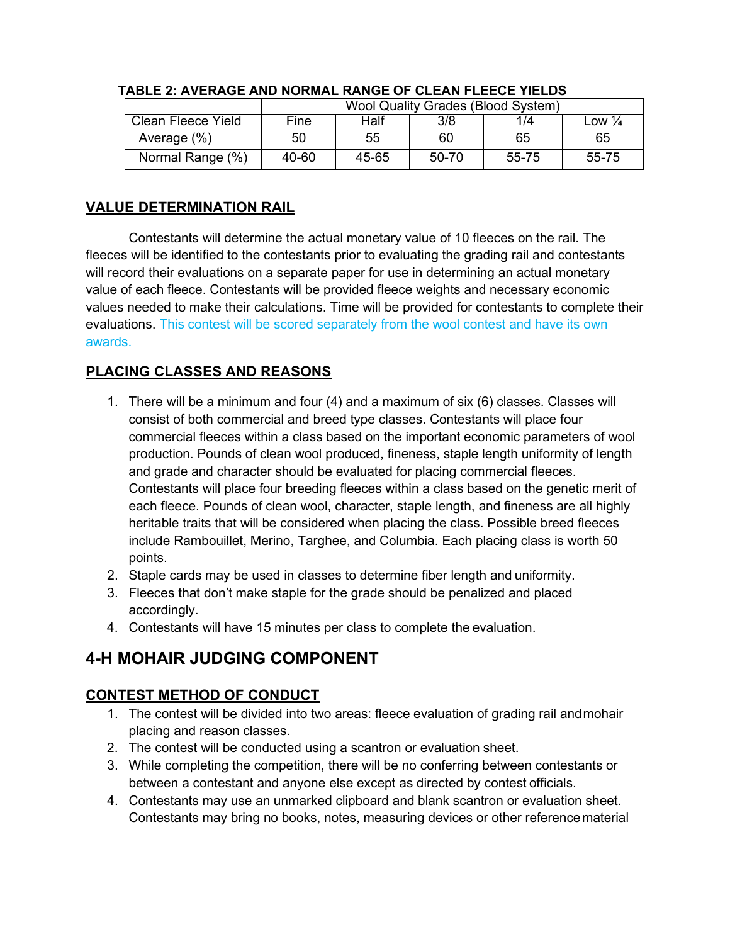|                    | <b>Wool Quality Grades (Blood System)</b> |       |         |       |                   |  |
|--------------------|-------------------------------------------|-------|---------|-------|-------------------|--|
| Clean Fleece Yield | Fine                                      | Half  | 3/8     | 1/4   | Low $\frac{1}{4}$ |  |
| Average (%)        | 50                                        | 55    | 60      | 65    | 65                |  |
| Normal Range (%)   | 40-60                                     | 45-65 | $50-70$ | 55-75 | 55-75             |  |

#### **TABLE 2: AVERAGE AND NORMAL RANGE OF CLEAN FLEECE YIELDS**

#### **VALUE DETERMINATION RAIL**

Contestants will determine the actual monetary value of 10 fleeces on the rail. The fleeces will be identified to the contestants prior to evaluating the grading rail and contestants will record their evaluations on a separate paper for use in determining an actual monetary value of each fleece. Contestants will be provided fleece weights and necessary economic values needed to make their calculations. Time will be provided for contestants to complete their evaluations. This contest will be scored separately from the wool contest and have its own awards.

### **PLACING CLASSES AND REASONS**

- 1. There will be a minimum and four (4) and a maximum of six (6) classes. Classes will consist of both commercial and breed type classes. Contestants will place four commercial fleeces within a class based on the important economic parameters of wool production. Pounds of clean wool produced, fineness, staple length uniformity of length and grade and character should be evaluated for placing commercial fleeces. Contestants will place four breeding fleeces within a class based on the genetic merit of each fleece. Pounds of clean wool, character, staple length, and fineness are all highly heritable traits that will be considered when placing the class. Possible breed fleeces include Rambouillet, Merino, Targhee, and Columbia. Each placing class is worth 50 points.
- 2. Staple cards may be used in classes to determine fiber length and uniformity.
- 3. Fleeces that don't make staple for the grade should be penalized and placed accordingly.
- 4. Contestants will have 15 minutes per class to complete the evaluation.

## **4-H MOHAIR JUDGING COMPONENT**

### **CONTEST METHOD OF CONDUCT**

- 1. The contest will be divided into two areas: fleece evaluation of grading rail andmohair placing and reason classes.
- 2. The contest will be conducted using a scantron or evaluation sheet.
- 3. While completing the competition, there will be no conferring between contestants or between a contestant and anyone else except as directed by contest officials.
- 4. Contestants may use an unmarked clipboard and blank scantron or evaluation sheet. Contestants may bring no books, notes, measuring devices or other referencematerial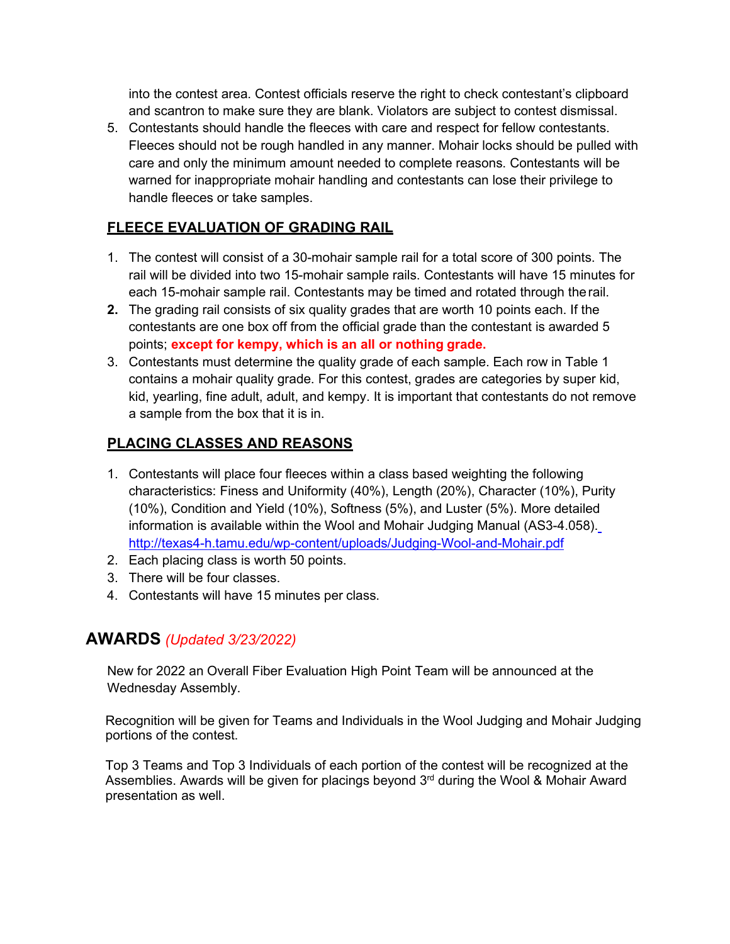into the contest area. Contest officials reserve the right to check contestant's clipboard and scantron to make sure they are blank. Violators are subject to contest dismissal.

5. Contestants should handle the fleeces with care and respect for fellow contestants. Fleeces should not be rough handled in any manner. Mohair locks should be pulled with care and only the minimum amount needed to complete reasons. Contestants will be warned for inappropriate mohair handling and contestants can lose their privilege to handle fleeces or take samples.

#### **FLEECE EVALUATION OF GRADING RAIL**

- 1. The contest will consist of a 30-mohair sample rail for a total score of 300 points. The rail will be divided into two 15-mohair sample rails. Contestants will have 15 minutes for each 15-mohair sample rail. Contestants may be timed and rotated through therail.
- **2.** The grading rail consists of six quality grades that are worth 10 points each. If the contestants are one box off from the official grade than the contestant is awarded 5 points; **except for kempy, which is an all or nothing grade.**
- 3. Contestants must determine the quality grade of each sample. Each row in Table 1 contains a mohair quality grade. For this contest, grades are categories by super kid, kid, yearling, fine adult, adult, and kempy. It is important that contestants do not remove a sample from the box that it is in.

#### **PLACING CLASSES AND REASONS**

- 1. Contestants will place four fleeces within a class based weighting the following characteristics: Finess and Uniformity (40%), Length (20%), Character (10%), Purity (10%), Condition and Yield (10%), Softness (5%), and Luster (5%). More detailed information is available within the Wool and Mohair Judging Manual (AS3-4.058)[.](http://texas4-h.tamu.edu/wp-content/uploads/Judging-Wool-and-Mohair.pdf) <http://texas4-h.tamu.edu/wp-content/uploads/Judging-Wool-and-Mohair.pdf>
- 2. Each placing class is worth 50 points.
- 3. There will be four classes.
- 4. Contestants will have 15 minutes per class.

## **AWARDS** *(Updated 3/23/2022)*

New for 2022 an Overall Fiber Evaluation High Point Team will be announced at the Wednesday Assembly.

Recognition will be given for Teams and Individuals in the Wool Judging and Mohair Judging portions of the contest.

Top 3 Teams and Top 3 Individuals of each portion of the contest will be recognized at the Assemblies. Awards will be given for placings beyond  $3<sup>rd</sup>$  during the Wool & Mohair Award presentation as well.